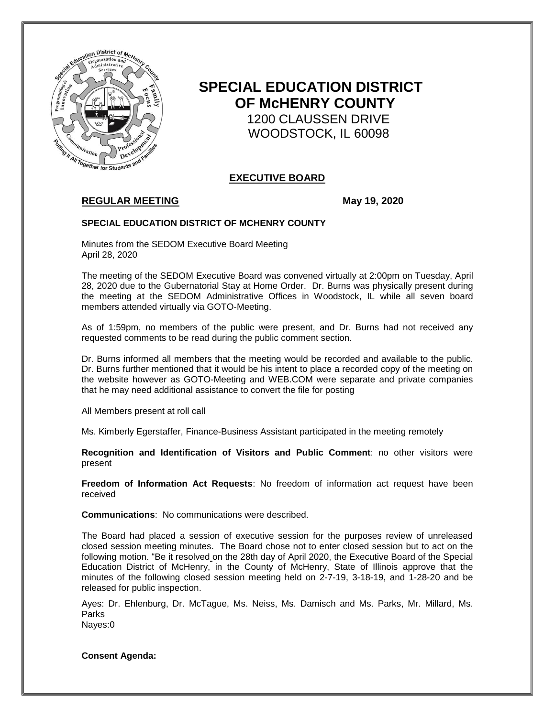

# **SPECIAL EDUCATION DISTRICT OF McHENRY COUNTY** 1200 CLAUSSEN DRIVE WOODSTOCK, IL 60098

# **EXECUTIVE BOARD**

# **REGULAR MEETING May 19, 2020**

## **SPECIAL EDUCATION DISTRICT OF MCHENRY COUNTY**

Minutes from the SEDOM Executive Board Meeting April 28, 2020

The meeting of the SEDOM Executive Board was convened virtually at 2:00pm on Tuesday, April 28, 2020 due to the Gubernatorial Stay at Home Order. Dr. Burns was physically present during the meeting at the SEDOM Administrative Offices in Woodstock, IL while all seven board members attended virtually via GOTO-Meeting.

As of 1:59pm, no members of the public were present, and Dr. Burns had not received any requested comments to be read during the public comment section.

Dr. Burns informed all members that the meeting would be recorded and available to the public. Dr. Burns further mentioned that it would be his intent to place a recorded copy of the meeting on the website however as GOTO-Meeting and WEB.COM were separate and private companies that he may need additional assistance to convert the file for posting

All Members present at roll call

Ms. Kimberly Egerstaffer, Finance-Business Assistant participated in the meeting remotely

**Recognition and Identification of Visitors and Public Comment**: no other visitors were present

**Freedom of Information Act Requests**: No freedom of information act request have been received

**Communications**: No communications were described.

The Board had placed a session of executive session for the purposes review of unreleased closed session meeting minutes. The Board chose not to enter closed session but to act on the following motion. "Be it resolved on the 28th day of April 2020, the Executive Board of the Special Education District of McHenry, in the County of McHenry, State of Illinois approve that the minutes of the following closed session meeting held on 2-7-19, 3-18-19, and 1-28-20 and be released for public inspection.

Ayes: Dr. Ehlenburg, Dr. McTague, Ms. Neiss, Ms. Damisch and Ms. Parks, Mr. Millard, Ms. Parks Nayes:0

**Consent Agenda:**